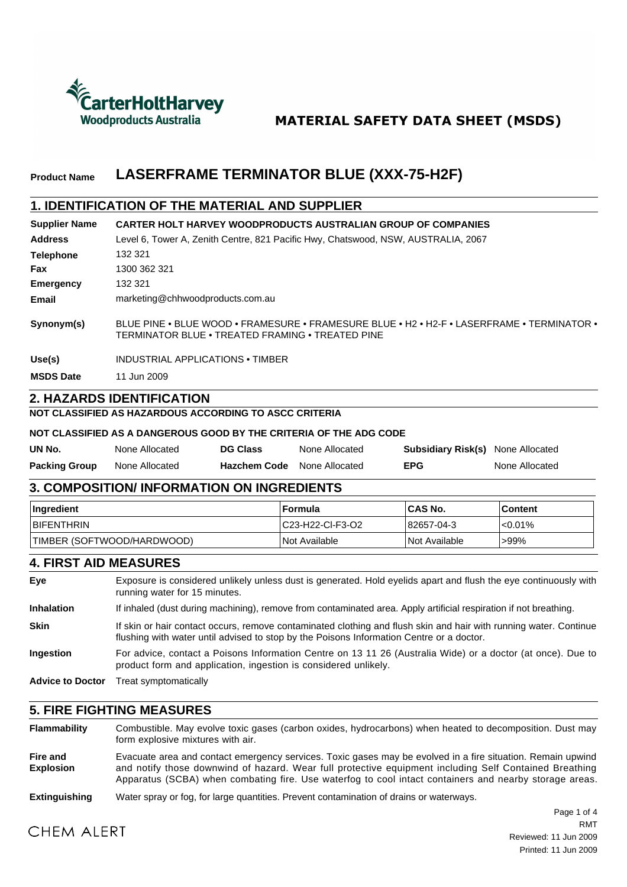

## **MATERIAL SAFETY DATA SHEET (MSDS)**

#### **LASERFRAME TERMINATOR BLUE (XXX-75-H2F) Product Name**

### **1. IDENTIFICATION OF THE MATERIAL AND SUPPLIER**

| <b>Supplier Name</b> | <b>CARTER HOLT HARVEY WOODPRODUCTS AUSTRALIAN GROUP OF COMPANIES</b>                                                                           |
|----------------------|------------------------------------------------------------------------------------------------------------------------------------------------|
| <b>Address</b>       | Level 6, Tower A, Zenith Centre, 821 Pacific Hwy, Chatswood, NSW, AUSTRALIA, 2067                                                              |
| <b>Telephone</b>     | 132 321                                                                                                                                        |
| Fax                  | 1300 362 321                                                                                                                                   |
| <b>Emergency</b>     | 132 321                                                                                                                                        |
| Email                | marketing@chhwoodproducts.com.au                                                                                                               |
| Synonym(s)           | BLUE PINE • BLUE WOOD • FRAMESURE • FRAMESURE BLUE • H2 • H2-F • LASERFRAME • TERMINATOR •<br>TERMINATOR BLUE • TREATED FRAMING • TREATED PINE |
| Use(s)               | INDUSTRIAL APPLICATIONS • TIMBER                                                                                                               |
| <b>MSDS Date</b>     | 11 Jun 2009                                                                                                                                    |

### **2. HAZARDS IDENTIFICATION**

#### **NOT CLASSIFIED AS HAZARDOUS ACCORDING TO ASCC CRITERIA**

#### **NOT CLASSIFIED AS A DANGEROUS GOOD BY THE CRITERIA OF THE ADG CODE**

| UN No.               | None Allocated | <b>DG Class</b>     | None Allocated | <b>Subsidiary Risk(s)</b> None Allocated |                |
|----------------------|----------------|---------------------|----------------|------------------------------------------|----------------|
| <b>Packing Group</b> | None Allocated | <b>Hazchem Code</b> | None Allocated | EPG                                      | None Allocated |

#### **3. COMPOSITION/ INFORMATION ON INGREDIENTS**

| <b>Ingredient</b>          | ∣Formula                    | <b>ICAS No.</b>      | ∣Content   |
|----------------------------|-----------------------------|----------------------|------------|
| <b>BIFENTHRIN</b>          | C23-H22-CI-F3-O2            | 82657-04-3           | $< 0.01\%$ |
| TIMBER (SOFTWOOD/HARDWOOD) | <i><b>Not Available</b></i> | <b>Not Available</b> | >99%       |

#### **4. FIRST AID MEASURES**

| Eye                     | Exposure is considered unlikely unless dust is generated. Hold eyelids apart and flush the eye continuously with<br>running water for 15 minutes.                                                             |
|-------------------------|---------------------------------------------------------------------------------------------------------------------------------------------------------------------------------------------------------------|
| <b>Inhalation</b>       | If inhaled (dust during machining), remove from contaminated area. Apply artificial respiration if not breathing.                                                                                             |
| <b>Skin</b>             | If skin or hair contact occurs, remove contaminated clothing and flush skin and hair with running water. Continue<br>flushing with water until advised to stop by the Poisons Information Centre or a doctor. |
| <b>Ingestion</b>        | For advice, contact a Poisons Information Centre on 13 11 26 (Australia Wide) or a doctor (at once). Due to<br>product form and application, ingestion is considered unlikely.                                |
| <b>Advice to Doctor</b> | Treat symptomatically                                                                                                                                                                                         |

#### **5. FIRE FIGHTING MEASURES**

**Flammability** Combustible. May evolve toxic gases (carbon oxides, hydrocarbons) when heated to decomposition. Dust may form explosive mixtures with air.

**Fire and Explosion** Evacuate area and contact emergency services. Toxic gases may be evolved in a fire situation. Remain upwind and notify those downwind of hazard. Wear full protective equipment including Self Contained Breathing Apparatus (SCBA) when combating fire. Use waterfog to cool intact containers and nearby storage areas.

#### **Extinguishing** Water spray or fog, for large quantities. Prevent contamination of drains or waterways.

# **CHEM ALERT**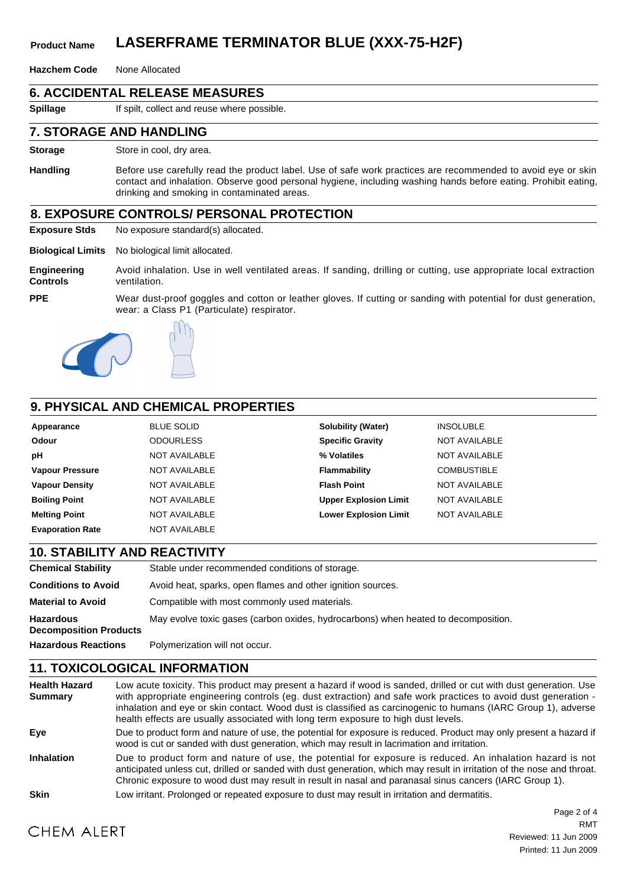## **Product Name LASERFRAME TERMINATOR BLUE (XXX-75-H2F)**

**Hazchem Code** None Allocated

### **6. ACCIDENTAL RELEASE MEASURES**

**Spillage** If spilt, collect and reuse where possible.

#### **7. STORAGE AND HANDLING**

**Storage** Store in cool, dry area.

**Handling** Before use carefully read the product label. Use of safe work practices are recommended to avoid eye or skin contact and inhalation. Observe good personal hygiene, including washing hands before eating. Prohibit eating, drinking and smoking in contaminated areas.

### **8. EXPOSURE CONTROLS/ PERSONAL PROTECTION**

**Exposure Stds** No exposure standard(s) allocated.

**Biological Limits** No biological limit allocated.

**Engineering Controls** Avoid inhalation. Use in well ventilated areas. If sanding, drilling or cutting, use appropriate local extraction ventilation.

**PPE**

Wear dust-proof goggles and cotton or leather gloves. If cutting or sanding with potential for dust generation, wear: a Class P1 (Particulate) respirator.





### **9. PHYSICAL AND CHEMICAL PROPERTIES**

| Appearance              | <b>BLUE SOLID</b>    | <b>Solubility (Water)</b>    | <b>INSOLUBLE</b>     |
|-------------------------|----------------------|------------------------------|----------------------|
| <b>Odour</b>            | <b>ODOURLESS</b>     | <b>Specific Gravity</b>      | <b>NOT AVAILABLE</b> |
| рH                      | <b>NOT AVAILABLE</b> | % Volatiles                  | <b>NOT AVAILABLE</b> |
| <b>Vapour Pressure</b>  | <b>NOT AVAILABLE</b> | Flammability                 | <b>COMBUSTIBLE</b>   |
| <b>Vapour Density</b>   | <b>NOT AVAILABLE</b> | <b>Flash Point</b>           | <b>NOT AVAILABLE</b> |
| <b>Boiling Point</b>    | <b>NOT AVAILABLE</b> | <b>Upper Explosion Limit</b> | <b>NOT AVAILABLE</b> |
| <b>Melting Point</b>    | <b>NOT AVAILABLE</b> | <b>Lower Explosion Limit</b> | NOT AVAILABLE        |
| <b>Evaporation Rate</b> | <b>NOT AVAILABLE</b> |                              |                      |

| <b>10. STABILITY AND REACTIVITY</b>               |                                                                                    |
|---------------------------------------------------|------------------------------------------------------------------------------------|
| <b>Chemical Stability</b>                         | Stable under recommended conditions of storage.                                    |
| <b>Conditions to Avoid</b>                        | Avoid heat, sparks, open flames and other ignition sources.                        |
| <b>Material to Avoid</b>                          | Compatible with most commonly used materials.                                      |
| <b>Hazardous</b><br><b>Decomposition Products</b> | May evolve toxic gases (carbon oxides, hydrocarbons) when heated to decomposition. |
| <b>Hazardous Reactions</b>                        | Polymerization will not occur.                                                     |

## **11. TOXICOLOGICAL INFORMATION**

| <b>Health Hazard</b><br><b>Summary</b> | Low acute toxicity. This product may present a hazard if wood is sanded, drilled or cut with dust generation. Use<br>with appropriate engineering controls (eg. dust extraction) and safe work practices to avoid dust generation -<br>inhalation and eye or skin contact. Wood dust is classified as carcinogenic to humans (IARC Group 1), adverse<br>health effects are usually associated with long term exposure to high dust levels. |
|----------------------------------------|--------------------------------------------------------------------------------------------------------------------------------------------------------------------------------------------------------------------------------------------------------------------------------------------------------------------------------------------------------------------------------------------------------------------------------------------|
| Eye                                    | Due to product form and nature of use, the potential for exposure is reduced. Product may only present a hazard if<br>wood is cut or sanded with dust generation, which may result in lacrimation and irritation.                                                                                                                                                                                                                          |
| <b>Inhalation</b>                      | Due to product form and nature of use, the potential for exposure is reduced. An inhalation hazard is not<br>anticipated unless cut, drilled or sanded with dust generation, which may result in irritation of the nose and throat.<br>Chronic exposure to wood dust may result in result in nasal and paranasal sinus cancers (IARC Group 1).                                                                                             |
| <b>Skin</b>                            | Low irritant. Prolonged or repeated exposure to dust may result in irritation and dermatitis.                                                                                                                                                                                                                                                                                                                                              |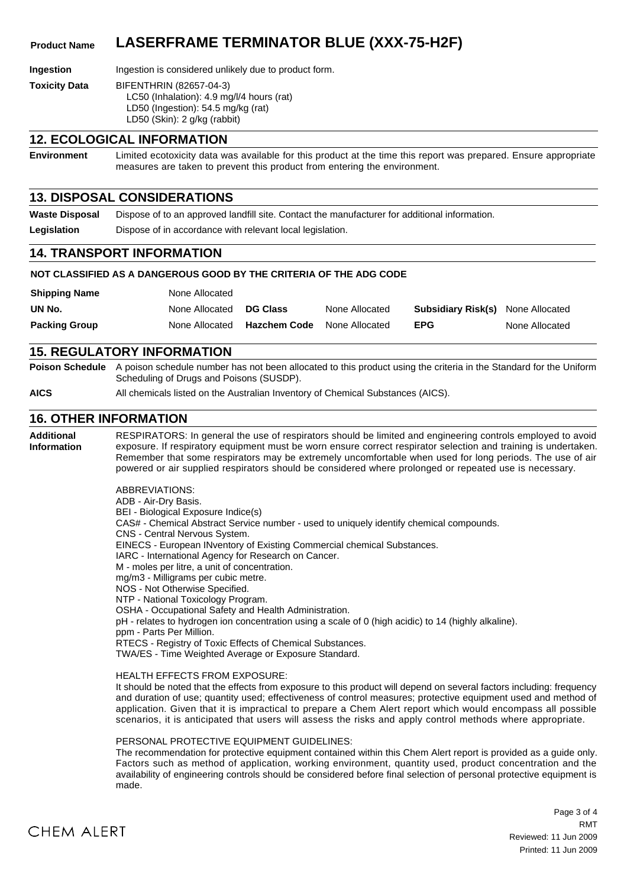## **Product Name LASERFRAME TERMINATOR BLUE (XXX-75-H2F)**

**Ingestion** Ingestion is considered unlikely due to product form.

**Toxicity Data** BIFENTHRIN (82657-04-3) LC50 (Inhalation): 4.9 mg/l/4 hours (rat) LD50 (Ingestion): 54.5 mg/kg (rat) LD50 (Skin): 2 g/kg (rabbit)

#### **12. ECOLOGICAL INFORMATION**

**Environment** Limited ecotoxicity data was available for this product at the time this report was prepared. Ensure appropriate measures are taken to prevent this product from entering the environment.

#### **13. DISPOSAL CONSIDERATIONS**

**Waste Disposal** Dispose of to an approved landfill site. Contact the manufacturer for additional information. Legislation **Dispose of in accordance with relevant local legislation.** 

#### **14. TRANSPORT INFORMATION**

#### **NOT CLASSIFIED AS A DANGEROUS GOOD BY THE CRITERIA OF THE ADG CODE**

| <b>Shipping Name</b> | None Allocated |                     |                |                                          |                |
|----------------------|----------------|---------------------|----------------|------------------------------------------|----------------|
| UN No.               | None Allocated | <b>DG Class</b>     | None Allocated | <b>Subsidiary Risk(s)</b> None Allocated |                |
| <b>Packing Group</b> | None Allocated | <b>Hazchem Code</b> | None Allocated | <b>EPG</b>                               | None Allocated |

#### **15. REGULATORY INFORMATION**

**Poison Schedule** A poison schedule number has not been allocated to this product using the criteria in the Standard for the Uniform Scheduling of Drugs and Poisons (SUSDP).

**AICS** All chemicals listed on the Australian Inventory of Chemical Substances (AICS).

### **16. OTHER INFORMATION**

**Additional Information** RESPIRATORS: In general the use of respirators should be limited and engineering controls employed to avoid exposure. If respiratory equipment must be worn ensure correct respirator selection and training is undertaken. Remember that some respirators may be extremely uncomfortable when used for long periods. The use of air powered or air supplied respirators should be considered where prolonged or repeated use is necessary.

ABBREVIATIONS:

ADB - Air-Dry Basis. BEI - Biological Exposure Indice(s) CAS# - Chemical Abstract Service number - used to uniquely identify chemical compounds. CNS - Central Nervous System. EINECS - European INventory of Existing Commercial chemical Substances. IARC - International Agency for Research on Cancer. M - moles per litre, a unit of concentration. mg/m3 - Milligrams per cubic metre. NOS - Not Otherwise Specified. NTP - National Toxicology Program. OSHA - Occupational Safety and Health Administration. pH - relates to hydrogen ion concentration using a scale of 0 (high acidic) to 14 (highly alkaline). ppm - Parts Per Million. RTECS - Registry of Toxic Effects of Chemical Substances. TWA/ES - Time Weighted Average or Exposure Standard.

#### HEALTH EFFECTS FROM EXPOSURE:

It should be noted that the effects from exposure to this product will depend on several factors including: frequency and duration of use; quantity used; effectiveness of control measures; protective equipment used and method of application. Given that it is impractical to prepare a Chem Alert report which would encompass all possible scenarios, it is anticipated that users will assess the risks and apply control methods where appropriate.

#### PERSONAL PROTECTIVE EQUIPMENT GUIDELINES:

The recommendation for protective equipment contained within this Chem Alert report is provided as a guide only. Factors such as method of application, working environment, quantity used, product concentration and the availability of engineering controls should be considered before final selection of personal protective equipment is made.



Page 3 of 4 Reviewed: 11 Jun 2009 Printed: 11 Jun 2009 RMT